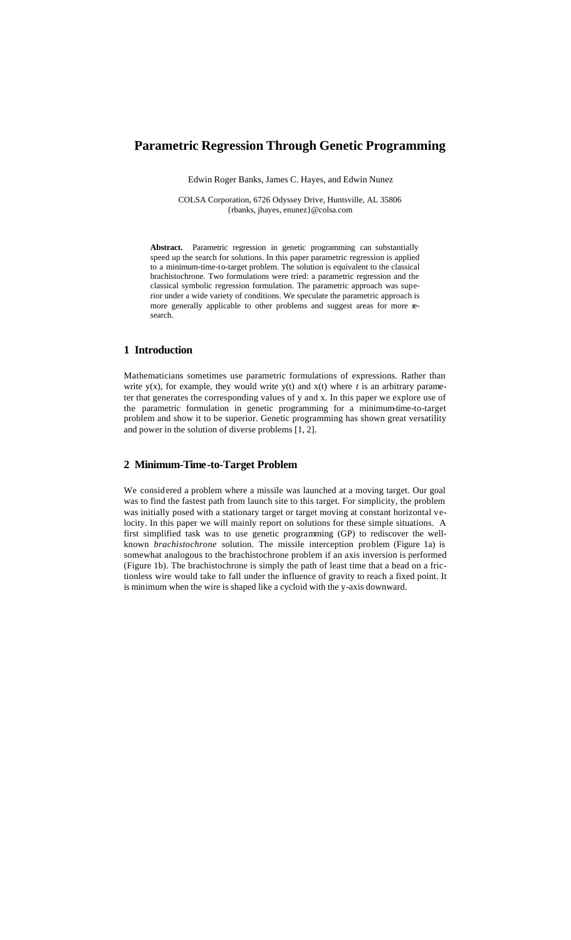# **Parametric Regression Through Genetic Programming**

Edwin Roger Banks, James C. Hayes, and Edwin Nunez

COLSA Corporation, 6726 Odyssey Drive, Huntsville, AL 35806 {rbanks, jhayes, enunez}@colsa.com

**Abstract.** Parametric regression in genetic programming can substantially speed up the search for solutions. In this paper parametric regression is applied to a minimum-time-to-target problem. The solution is equivalent to the classical brachistochrone. Two formulations were tried: a parametric regression and the classical symbolic regression formulation. The parametric approach was superior under a wide variety of conditions. We speculate the parametric approach is more generally applicable to other problems and suggest areas for more research.

#### **1 Introduction**

Mathematicians sometimes use parametric formulations of expressions. Rather than write  $y(x)$ , for example, they would write  $y(t)$  and  $x(t)$  where  $t$  is an arbitrary parameter that generates the corresponding values of y and x. In this paper we explore use of the parametric formulation in genetic programming for a minimum-time-to-target problem and show it to be superior. Genetic programming has shown great versatility and power in the solution of diverse problems [1, 2].

### **2 Minimum-Time-to-Target Problem**

We considered a problem where a missile was launched at a moving target. Our goal was to find the fastest path from launch site to this target. For simplicity, the problem was initially posed with a stationary target or target moving at constant horizontal velocity. In this paper we will mainly report on solutions for these simple situations. A first simplified task was to use genetic programming (GP) to rediscover the wellknown *brachistochrone* solution. The missile interception problem (Figure 1a) is somewhat analogous to the brachistochrone problem if an axis inversion is performed (Figure 1b). The brachistochrone is simply the path of least time that a bead on a frictionless wire would take to fall under the influence of gravity to reach a fixed point. It is minimum when the wire is shaped like a cycloid with the y-axis downward.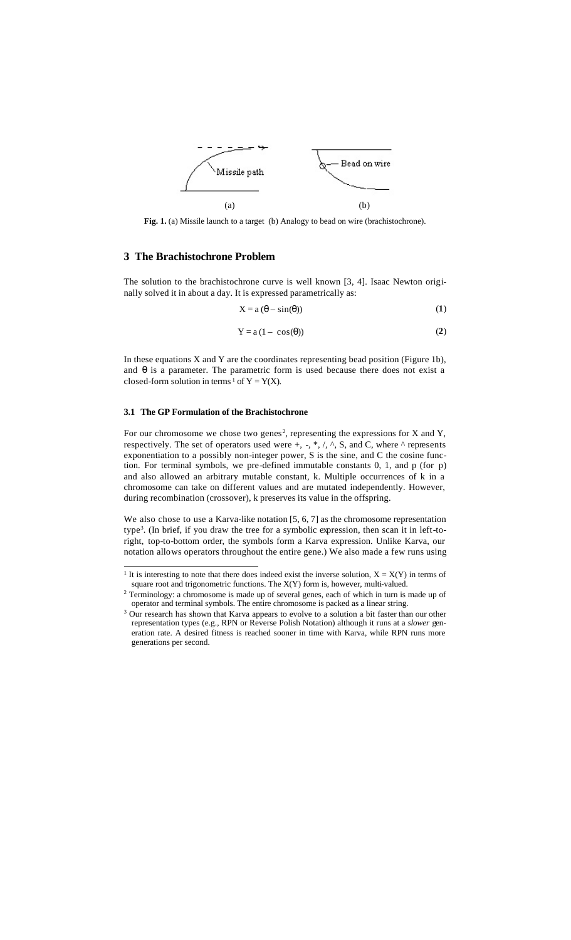

**Fig. 1.** (a) Missile launch to a target (b) Analogy to bead on wire (brachistochrone).

#### **3 The Brachistochrone Problem**

The solution to the brachistochrone curve is well known [3, 4]. Isaac Newton originally solved it in about a day. It is expressed parametrically as:

$$
X = a (\theta - \sin(\theta))
$$
 (1)

$$
Y = a (1 - \cos(\theta))
$$
 (2)

In these equations X and Y are the coordinates representing bead position (Figure 1b), and  $\theta$  is a parameter. The parametric form is used because there does not exist a closed-form solution in terms <sup>1</sup> of  $Y = Y(X)$ .

#### **3.1 The GP Formulation of the Brachistochrone**

For our chromosome we chose two genes<sup>2</sup>, representing the expressions for  $X$  and  $Y$ , respectively. The set of operators used were  $+$ ,  $-$ ,  $*,$   $/$ ,  $\wedge$ ,  $\angle$ ,  $\angle$ ,  $\angle$ ,  $\angle$ , where  $\wedge$  represents exponentiation to a possibly non-integer power, S is the sine, and C the cosine function. For terminal symbols, we pre-defined immutable constants 0, 1, and p (for p) and also allowed an arbitrary mutable constant, k. Multiple occurrences of k in a chromosome can take on different values and are mutated independently. However, during recombination (crossover), k preserves its value in the offspring.

We also chose to use a Karva-like notation [5, 6, 7] as the chromosome representation type<sup>3</sup> . (In brief, if you draw the tree for a symbolic expression, then scan it in left-toright, top-to-bottom order, the symbols form a Karva expression. Unlike Karva, our notation allows operators throughout the entire gene.) We also made a few runs using

<sup>&</sup>lt;sup>1</sup> It is interesting to note that there does indeed exist the inverse solution,  $X = X(Y)$  in terms of square root and trigonometric functions. The  $X(Y)$  form is, however, multi-valued.

<sup>&</sup>lt;sup>2</sup> Terminology: a chromosome is made up of several genes, each of which in turn is made up of operator and terminal symbols. The entire chromosome is packed as a linear string.

<sup>&</sup>lt;sup>3</sup> Our research has shown that Karva appears to evolve to a solution a bit faster than our other representation types (e.g., RPN or Reverse Polish Notation) although it runs at a *slower* generation rate. A desired fitness is reached sooner in time with Karva, while RPN runs more generations per second.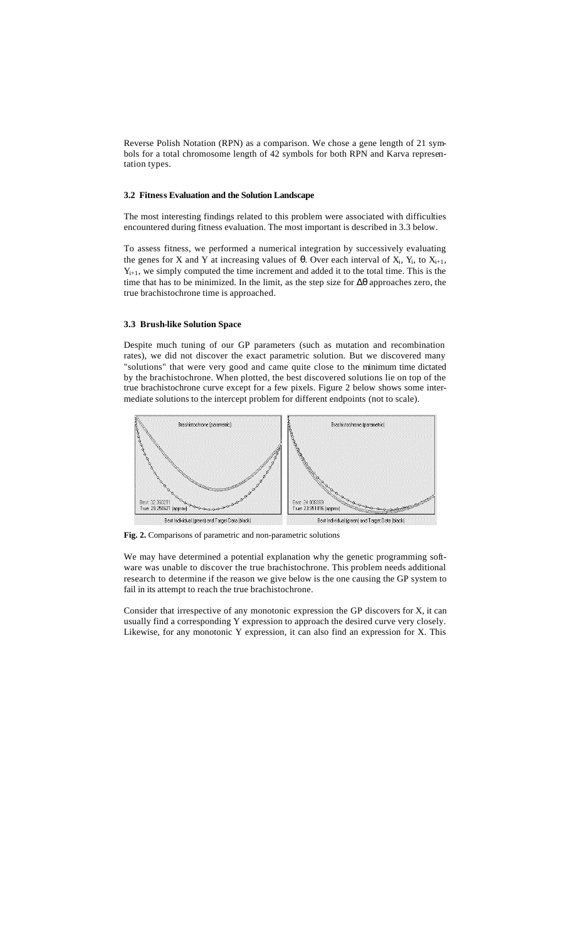Reverse Polish Notation (RPN) as a comparison. We chose a gene length of 21 symbols for a total chromosome length of 42 symbols for both RPN and Karva representation types.

#### **3.2 Fitness Evaluation and the Solution Landscape**

The most interesting findings related to this problem were associated with difficulties encountered during fitness evaluation. The most important is described in 3.3 below.

To assess fitness, we performed a numerical integration by successively evaluating the genes for X and Y at increasing values of  $\theta$ . Over each interval of X<sub>i</sub>, Y<sub>i</sub>, to X<sub>i+1</sub>,  $Y_{i+1}$ , we simply computed the time increment and added it to the total time. This is the time that has to be minimized. In the limit, as the step size for  $\Delta\theta$  approaches zero, the true brachistochrone time is approached.

#### **3.3 Brush-like Solution Space**

Despite much tuning of our GP parameters (such as mutation and recombination rates), we did not discover the exact parametric solution. But we discovered many "solutions" that were very good and came quite close to the minimum time dictated by the brachistochrone. When plotted, the best discovered solutions lie on top of the true brachistochrone curve except for a few pixels. Figure 2 below shows some intermediate solutions to the intercept problem for different endpoints (not to scale).



**Fig. 2.** Comparisons of parametric and non-parametric solutions

We may have determined a potential explanation why the genetic programming software was unable to discover the true brachistochrone. This problem needs additional research to determine if the reason we give below is the one causing the GP system to fail in its attempt to reach the true brachistochrone.

Consider that irrespective of any monotonic expression the GP discovers for X, it can usually find a corresponding Y expression to approach the desired curve very closely. Likewise, for any monotonic Y expression, it can also find an expression for X. This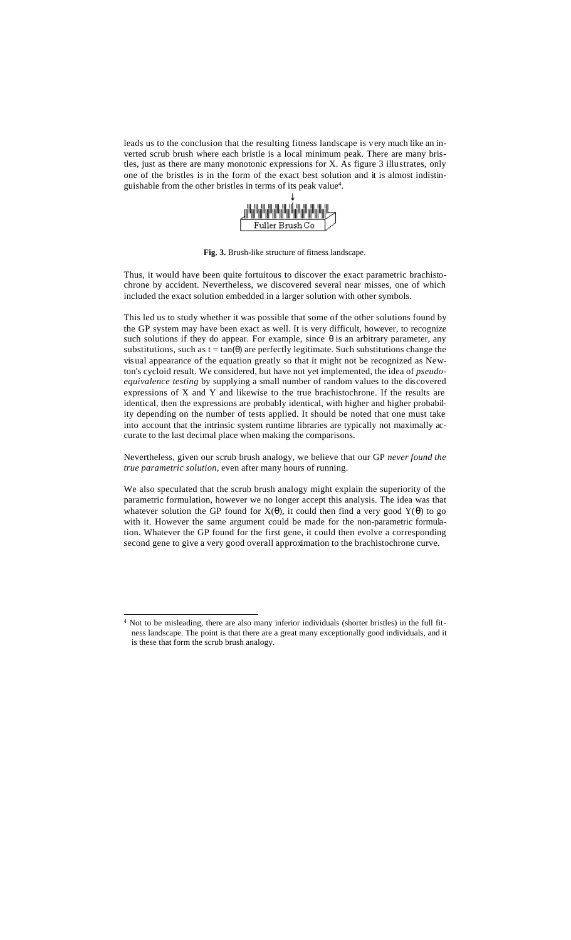leads us to the conclusion that the resulting fitness landscape is very much like an inverted scrub brush where each bristle is a local minimum peak. There are many bristles, just as there are many monotonic expressions for X. As figure 3 illustrates, only one of the bristles is in the form of the exact best solution and it is almost indistinguishable from the other bristles in terms of its peak value<sup>4</sup> .



**Fig. 3.** Brush-like structure of fitness landscape.

Thus, it would have been quite fortuitous to discover the exact parametric brachistochrone by accident. Nevertheless, we discovered several near misses, one of which included the exact solution embedded in a larger solution with other symbols.

This led us to study whether it was possible that some of the other solutions found by the GP system may have been exact as well. It is very difficult, however, to recognize such solutions if they do appear. For example, since  $\theta$  is an arbitrary parameter, any substitutions, such as  $t = \tan(\theta)$  are perfectly legitimate. Such substitutions change the visual appearance of the equation greatly so that it might not be recognized as Newton's cycloid result. We considered, but have not yet implemented, the idea of *pseudoequivalence testing* by supplying a small number of random values to the discovered expressions of X and Y and likewise to the true brachistochrone. If the results are identical, then the expressions are probably identical, with higher and higher probability depending on the number of tests applied. It should be noted that one must take into account that the intrinsic system runtime libraries are typically not maximally accurate to the last decimal place when making the comparisons.

Nevertheless, given our scrub brush analogy, we believe that our GP *never found the true parametric solution*, even after many hours of running.

We also speculated that the scrub brush analogy might explain the superiority of the parametric formulation, however we no longer accept this analysis. The idea was that whatever solution the GP found for  $X(\theta)$ , it could then find a very good  $Y(\theta)$  to go with it. However the same argument could be made for the non-parametric formulation. Whatever the GP found for the first gene, it could then evolve a corresponding second gene to give a very good overall approximation to the brachistochrone curve.

l

<sup>4</sup> Not to be misleading, there are also many inferior individuals (shorter bristles) in the full fitness landscape. The point is that there are a great many exceptionally good individuals, and it is these that form the scrub brush analogy.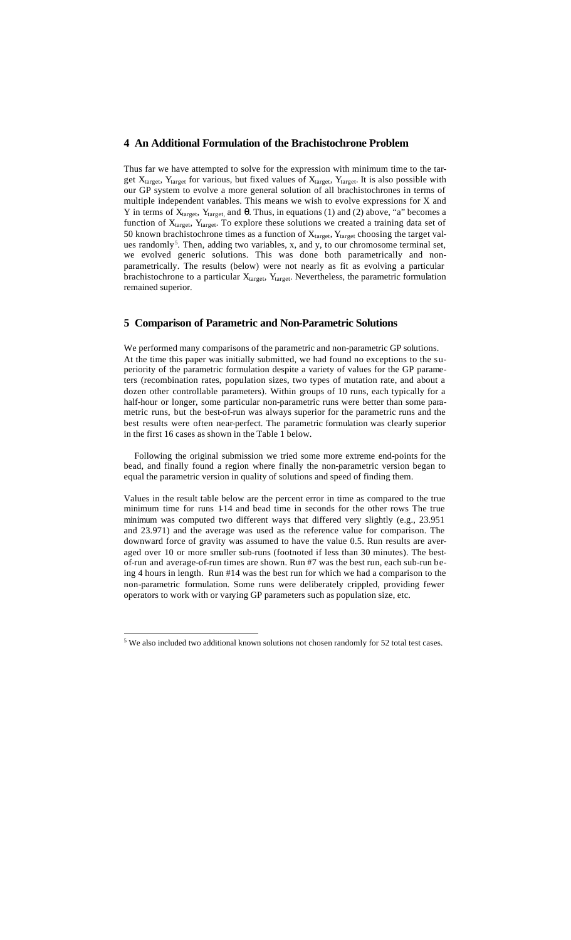#### **4 An Additional Formulation of the Brachistochrone Problem**

Thus far we have attempted to solve for the expression with minimum time to the target  $X_{target}$ ,  $Y_{target}$  for various, but fixed values of  $X_{target}$ ,  $Y_{target}$ . It is also possible with our GP system to evolve a more general solution of all brachistochrones in terms of multiple independent variables. This means we wish to evolve expressions for X and Y in terms of  $X_{target}$ ,  $Y_{target}$ , and  $\theta$ . Thus, in equations (1) and (2) above, "a" becomes a function of  $X_{target}$ ,  $Y_{target}$ . To explore these solutions we created a training data set of 50 known brachistochrone times as a function of  $X_{\text{target}}$ ,  $Y_{\text{target}}$  choosing the target values randomly<sup>5</sup>. Then, adding two variables, x, and y, to our chromosome terminal set, we evolved generic solutions. This was done both parametrically and nonparametrically. The results (below) were not nearly as fit as evolving a particular brachistochrone to a particular  $X_{target}$ ,  $Y_{target}$ . Nevertheless, the parametric formulation remained superior.

## **5 Comparison of Parametric and Non-Parametric Solutions**

We performed many comparisons of the parametric and non-parametric GP solutions. At the time this paper was initially submitted, we had found no exceptions to the superiority of the parametric formulation despite a variety of values for the GP parameters (recombination rates, population sizes, two types of mutation rate, and about a dozen other controllable parameters). Within groups of 10 runs, each typically for a half-hour or longer, some particular non-parametric runs were better than some parametric runs, but the best-of-run was always superior for the parametric runs and the best results were often near-perfect. The parametric formulation was clearly superior in the first 16 cases as shown in the Table 1 below.

Following the original submission we tried some more extreme end-points for the bead, and finally found a region where finally the non-parametric version began to equal the parametric version in quality of solutions and speed of finding them.

Values in the result table below are the percent error in time as compared to the true minimum time for runs 1-14 and bead time in seconds for the other rows The true minimum was computed two different ways that differed very slightly (e.g., 23.951 and 23.971) and the average was used as the reference value for comparison. The downward force of gravity was assumed to have the value 0.5. Run results are averaged over 10 or more smaller sub-runs (footnoted if less than 30 minutes). The bestof-run and average-of-run times are shown. Run #7 was the best run, each sub-run being 4 hours in length. Run #14 was the best run for which we had a comparison to the non-parametric formulation. Some runs were deliberately crippled, providing fewer operators to work with or varying GP parameters such as population size, etc.

l

 $5$  We also included two additional known solutions not chosen randomly for 52 total test cases.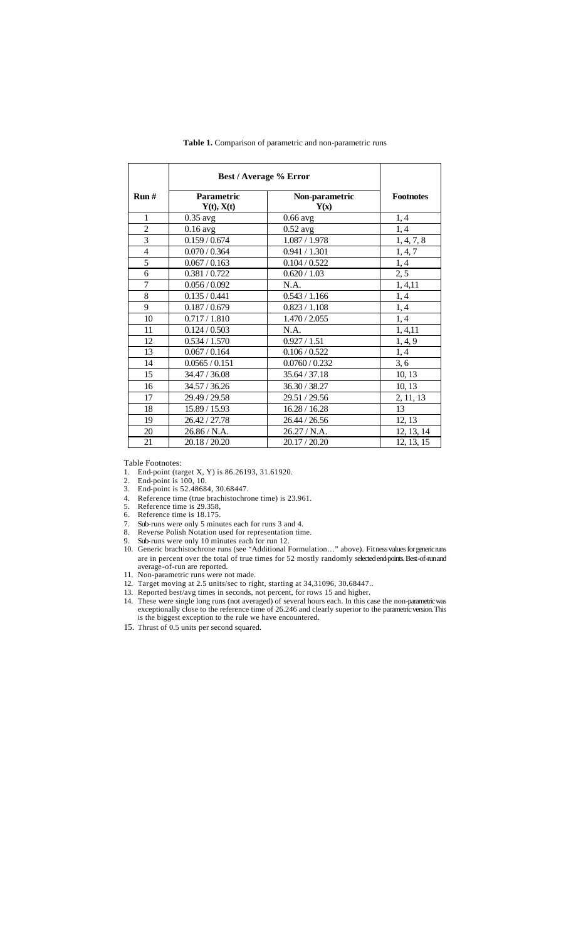|                | <b>Best / Average % Error</b> |                        |                  |
|----------------|-------------------------------|------------------------|------------------|
| Run#           | Parametric<br>Y(t), X(t)      | Non-parametric<br>Y(x) | <b>Footnotes</b> |
| $\mathbf{1}$   | $0.35$ avg                    | $0.66$ avg             | 1, 4             |
| $\overline{c}$ | $0.16$ avg                    | $0.52$ avg             | 1, 4             |
| $\overline{3}$ | 0.159 / 0.674                 | 1.087 / 1.978          | 1, 4, 7, 8       |
| $\overline{4}$ | 0.070 / 0.364                 | 0.941 / 1.301          | 1, 4, 7          |
| $\overline{5}$ | 0.067 / 0.163                 | 0.104 / 0.522          | 1, 4             |
| 6              | 0.381 / 0.722                 | 0.620 / 1.03           | 2, 5             |
| $\overline{7}$ | 0.056 / 0.092                 | N.A.                   | 1, 4, 11         |
| 8              | 0.135 / 0.441                 | 0.543 / 1.166          | 1, 4             |
| 9              | 0.187 / 0.679                 | 0.823 / 1.108          | 1,4              |
| 10             | 0.717 / 1.810                 | 1.470 / 2.055          | 1, 4             |
| 11             | 0.124 / 0.503                 | N.A.                   | 1, 4, 11         |
| 12             | 0.534 / 1.570                 | 0.927 / 1.51           | 1, 4, 9          |
| 13             | 0.067 / 0.164                 | 0.106 / 0.522          | 1, 4             |
| 14             | 0.0565 / 0.151                | 0.0760 / 0.232         | 3, 6             |
| 15             | 34.47 / 36.08                 | 35.64 / 37.18          | 10, 13           |
| 16             | 34.57 / 36.26                 | 36.30 / 38.27          | 10, 13           |
| 17             | 29.49 / 29.58                 | 29.51 / 29.56          | 2, 11, 13        |
| 18             | 15.89 / 15.93                 | 16.28 / 16.28          | 13               |
| 19             | 26.42 / 27.78                 | 26.44 / 26.56          | 12, 13           |
| 20             | 26.86 / N.A.                  | 26.27/N.A.             | 12, 13, 14       |
| 21             | 20.18 / 20.20                 | 20.17 / 20.20          | 12, 13, 15       |

**Table 1.** Comparison of parametric and non-parametric runs

Table Footnotes:

- 1. End-point (target X, Y) is 86.26193, 31.61920.
- 2. End-point is 100, 10.
- 3. End-point is 52.48684, 30.68447.
- 4. Reference time (true brachistochrone time) is 23.961.<br>5. Reference time is 29.358.
- 5. Reference time is 29.358,
- 6. Reference time is 18.175.
- 7. Sub-runs were only 5 minutes each for runs 3 and 4.
- Reverse Polish Notation used for representation time. 9. Sub-runs were only 10 minutes each for run 12.
- 10. Generic brachistochrone runs (see "Additional Formulation…" above). Fitness values for generic runs are in percent over the total of true times for 52 mostly randomly selected end-points. Best-of-run and average-of-run are reported.
- 11. Non-parametric runs were not made.
- 12. Target moving at 2.5 units/sec to right, starting at 34,31096, 30.68447..
- 13. Reported best/avg times in seconds, not percent, for rows 15 and higher.
- 14. These were single long runs (not averaged) of several hours each. In this case the non-parametric was exceptionally close to the reference time of 26.246 and clearly superior to the parametric version. This is the biggest exception to the rule we have encountered.
- 15. Thrust of 0.5 units per second squared.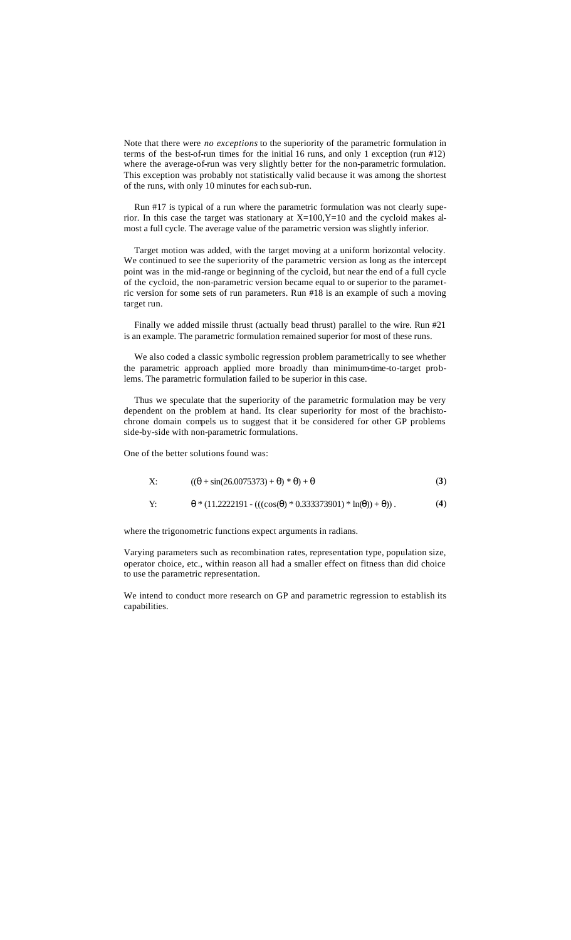Note that there were *no exceptions* to the superiority of the parametric formulation in terms of the best-of-run times for the initial 16 runs, and only 1 exception (run #12) where the average-of-run was very slightly better for the non-parametric formulation. This exception was probably not statistically valid because it was among the shortest of the runs, with only 10 minutes for each sub-run.

Run #17 is typical of a run where the parametric formulation was not clearly superior. In this case the target was stationary at  $X=100, Y=10$  and the cycloid makes almost a full cycle. The average value of the parametric version was slightly inferior.

Target motion was added, with the target moving at a uniform horizontal velocity. We continued to see the superiority of the parametric version as long as the intercept point was in the mid-range or beginning of the cycloid, but near the end of a full cycle of the cycloid, the non-parametric version became equal to or superior to the parametric version for some sets of run parameters. Run #18 is an example of such a moving target run.

Finally we added missile thrust (actually bead thrust) parallel to the wire. Run #21 is an example. The parametric formulation remained superior for most of these runs.

We also coded a classic symbolic regression problem parametrically to see whether the parametric approach applied more broadly than minimum-time-to-target problems. The parametric formulation failed to be superior in this case.

Thus we speculate that the superiority of the parametric formulation may be very dependent on the problem at hand. Its clear superiority for most of the brachistochrone domain compels us to suggest that it be considered for other GP problems side-by-side with non-parametric formulations.

One of the better solutions found was:

X: 
$$
((\theta + \sin(26.0075373) + \theta) * \theta) + \theta
$$
 (3)

Y:  $\theta^*$  (11.2222191 - (((cos( $\theta$ ) \* 0.333373901) \* ln( $\theta$ )) +  $\theta$ )) . (4)

where the trigonometric functions expect arguments in radians.

Varying parameters such as recombination rates, representation type, population size, operator choice, etc., within reason all had a smaller effect on fitness than did choice to use the parametric representation.

We intend to conduct more research on GP and parametric regression to establish its capabilities.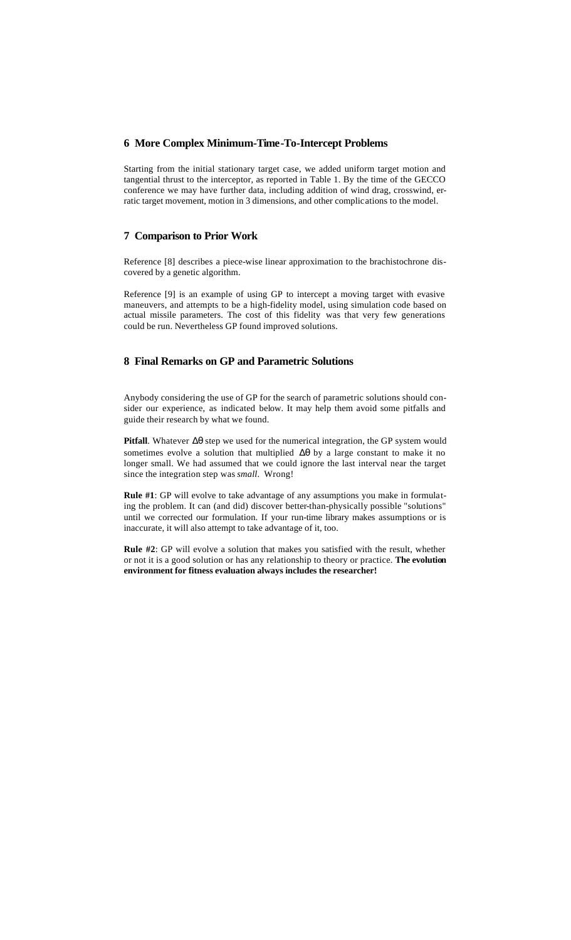#### **6 More Complex Minimum-Time-To-Intercept Problems**

Starting from the initial stationary target case, we added uniform target motion and tangential thrust to the interceptor, as reported in Table 1. By the time of the GECCO conference we may have further data, including addition of wind drag, crosswind, erratic target movement, motion in 3 dimensions, and other complications to the model.

## **7 Comparison to Prior Work**

Reference [8] describes a piece-wise linear approximation to the brachistochrone discovered by a genetic algorithm.

Reference [9] is an example of using GP to intercept a moving target with evasive maneuvers, and attempts to be a high-fidelity model, using simulation code based on actual missile parameters. The cost of this fidelity was that very few generations could be run. Nevertheless GP found improved solutions.

## **8 Final Remarks on GP and Parametric Solutions**

Anybody considering the use of GP for the search of parametric solutions should consider our experience, as indicated below. It may help them avoid some pitfalls and guide their research by what we found.

**Pitfall**. Whatever Δθ step we used for the numerical integration, the GP system would sometimes evolve a solution that multiplied Δθ by a large constant to make it no longer small. We had assumed that we could ignore the last interval near the target since the integration step was *small*. Wrong!

**Rule #1**: GP will evolve to take advantage of any assumptions you make in formulating the problem. It can (and did) discover better-than-physically possible "solutions" until we corrected our formulation. If your run-time library makes assumptions or is inaccurate, it will also attempt to take advantage of it, too.

**Rule #2**: GP will evolve a solution that makes you satisfied with the result, whether or not it is a good solution or has any relationship to theory or practice. **The evolution environment for fitness evaluation always includes the researcher!**